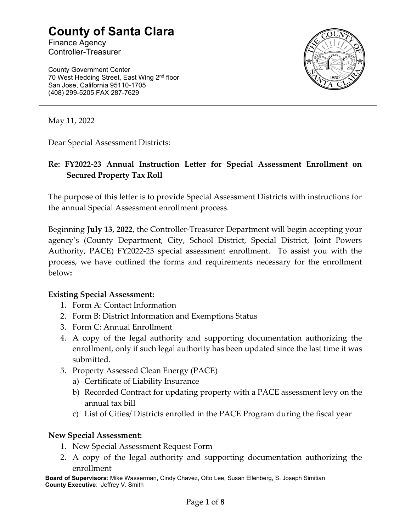# County of Santa Clara

Finance Agency Controller-Treasurer

County Government Center 70 West Hedding Street, East Wing 2<sup>nd</sup> floor San Jose, California 95110-1705 (408) 299-5205 FAX 287-7629



May 11, 2022

Dear Special Assessment Districts:

# Re: FY2022-23 Annual Instruction Letter for Special Assessment Enrollment on Secured Property Tax Roll

The purpose of this letter is to provide Special Assessment Districts with instructions for the annual Special Assessment enrollment process.

Beginning July 13, 2022, the Controller-Treasurer Department will begin accepting your agency's (County Department, City, School District, Special District, Joint Powers Authority, PACE) FY2022-23 special assessment enrollment. To assist you with the process, we have outlined the forms and requirements necessary for the enrollment below:

#### Existing Special Assessment:

- 1. Form A: Contact Information
- 2. Form B: District Information and Exemptions Status
- 3. Form C: Annual Enrollment
- 4. A copy of the legal authority and supporting documentation authorizing the enrollment, only if such legal authority has been updated since the last time it was submitted.
- 5. Property Assessed Clean Energy (PACE)
	- a) Certificate of Liability Insurance
	- b) Recorded Contract for updating property with a PACE assessment levy on the annual tax bill
	- c) List of Cities/ Districts enrolled in the PACE Program during the fiscal year

#### New Special Assessment:

- 1. New Special Assessment Request Form
- 2. A copy of the legal authority and supporting documentation authorizing the enrollment

Board of Supervisors: Mike Wasserman, Cindy Chavez, Otto Lee, Susan Ellenberg, S. Joseph Simitian County Executive: Jeffrey V. Smith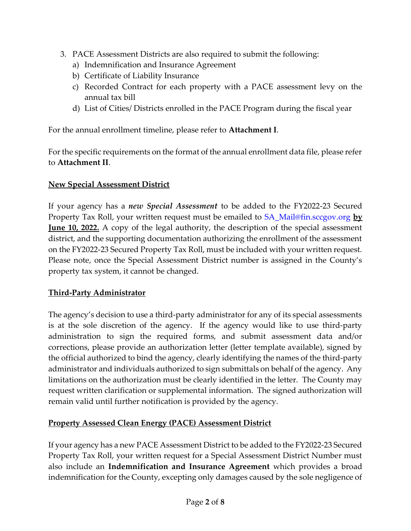- 3. PACE Assessment Districts are also required to submit the following:
	- a) Indemnification and Insurance Agreement
	- b) Certificate of Liability Insurance
	- c) Recorded Contract for each property with a PACE assessment levy on the annual tax bill
	- d) List of Cities/ Districts enrolled in the PACE Program during the fiscal year

For the annual enrollment timeline, please refer to Attachment I.

For the specific requirements on the format of the annual enrollment data file, please refer to Attachment II.

# New Special Assessment District

If your agency has a *new Special Assessment* to be added to the FY2022-23 Secured Property Tax Roll, your written request must be emailed to SA\_Mail@fin.sccgov.org by **June 10, 2022.** A copy of the legal authority, the description of the special assessment district, and the supporting documentation authorizing the enrollment of the assessment on the FY2022-23 Secured Property Tax Roll, must be included with your written request. Please note, once the Special Assessment District number is assigned in the County's property tax system, it cannot be changed.

# Third-Party Administrator

The agency's decision to use a third-party administrator for any of its special assessments is at the sole discretion of the agency. If the agency would like to use third-party administration to sign the required forms, and submit assessment data and/or corrections, please provide an authorization letter (letter template available), signed by the official authorized to bind the agency, clearly identifying the names of the third-party administrator and individuals authorized to sign submittals on behalf of the agency. Any limitations on the authorization must be clearly identified in the letter. The County may request written clarification or supplemental information. The signed authorization will remain valid until further notification is provided by the agency.

# Property Assessed Clean Energy (PACE) Assessment District

If your agency has a new PACE Assessment District to be added to the FY2022-23 Secured Property Tax Roll, your written request for a Special Assessment District Number must also include an Indemnification and Insurance Agreement which provides a broad indemnification for the County, excepting only damages caused by the sole negligence of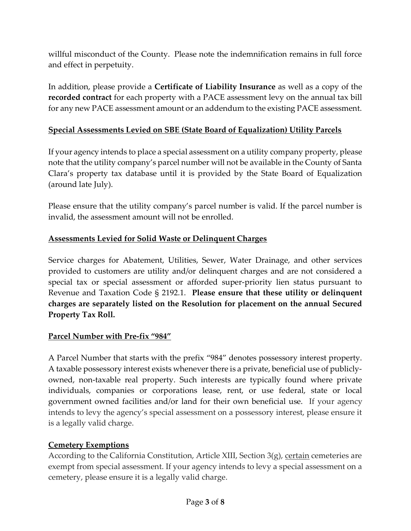willful misconduct of the County. Please note the indemnification remains in full force and effect in perpetuity.

In addition, please provide a Certificate of Liability Insurance as well as a copy of the recorded contract for each property with a PACE assessment levy on the annual tax bill for any new PACE assessment amount or an addendum to the existing PACE assessment.

#### Special Assessments Levied on SBE (State Board of Equalization) Utility Parcels

If your agency intends to place a special assessment on a utility company property, please note that the utility company's parcel number will not be available in the County of Santa Clara's property tax database until it is provided by the State Board of Equalization (around late July).

Please ensure that the utility company's parcel number is valid. If the parcel number is invalid, the assessment amount will not be enrolled.

#### Assessments Levied for Solid Waste or Delinquent Charges

Service charges for Abatement, Utilities, Sewer, Water Drainage, and other services provided to customers are utility and/or delinquent charges and are not considered a special tax or special assessment or afforded super-priority lien status pursuant to Revenue and Taxation Code § 2192.1. Please ensure that these utility or delinquent charges are separately listed on the Resolution for placement on the annual Secured Property Tax Roll.

#### Parcel Number with Pre-fix "984"

A Parcel Number that starts with the prefix "984" denotes possessory interest property. A taxable possessory interest exists whenever there is a private, beneficial use of publiclyowned, non-taxable real property. Such interests are typically found where private individuals, companies or corporations lease, rent, or use federal, state or local government owned facilities and/or land for their own beneficial use. If your agency intends to levy the agency's special assessment on a possessory interest, please ensure it is a legally valid charge.

#### Cemetery Exemptions

According to the California Constitution, Article XIII, Section 3(g), certain cemeteries are exempt from special assessment. If your agency intends to levy a special assessment on a cemetery, please ensure it is a legally valid charge.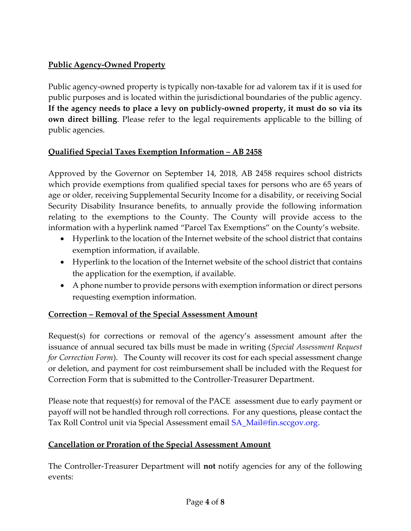# Public Agency-Owned Property

Public agency-owned property is typically non-taxable for ad valorem tax if it is used for public purposes and is located within the jurisdictional boundaries of the public agency. If the agency needs to place a levy on publicly-owned property, it must do so via its own direct billing. Please refer to the legal requirements applicable to the billing of public agencies.

# Qualified Special Taxes Exemption Information – AB 2458

Approved by the Governor on September 14, 2018, AB 2458 requires school districts which provide exemptions from qualified special taxes for persons who are 65 years of age or older, receiving Supplemental Security Income for a disability, or receiving Social Security Disability Insurance benefits, to annually provide the following information relating to the exemptions to the County. The County will provide access to the information with a hyperlink named "Parcel Tax Exemptions" on the County's website.

- Hyperlink to the location of the Internet website of the school district that contains exemption information, if available.
- Hyperlink to the location of the Internet website of the school district that contains the application for the exemption, if available.
- A phone number to provide persons with exemption information or direct persons requesting exemption information.

#### Correction – Removal of the Special Assessment Amount

Request(s) for corrections or removal of the agency's assessment amount after the issuance of annual secured tax bills must be made in writing (Special Assessment Request for Correction Form). The County will recover its cost for each special assessment change or deletion, and payment for cost reimbursement shall be included with the Request for Correction Form that is submitted to the Controller-Treasurer Department.

Please note that request(s) for removal of the PACE assessment due to early payment or payoff will not be handled through roll corrections. For any questions, please contact the Tax Roll Control unit via Special Assessment email SA\_Mail@fin.sccgov.org.

#### Cancellation or Proration of the Special Assessment Amount

The Controller-Treasurer Department will not notify agencies for any of the following events: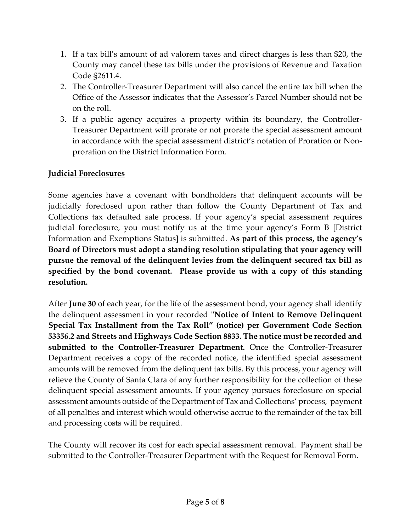- 1. If a tax bill's amount of ad valorem taxes and direct charges is less than \$20, the County may cancel these tax bills under the provisions of Revenue and Taxation Code §2611.4.
- 2. The Controller-Treasurer Department will also cancel the entire tax bill when the Office of the Assessor indicates that the Assessor's Parcel Number should not be on the roll.
- 3. If a public agency acquires a property within its boundary, the Controller-Treasurer Department will prorate or not prorate the special assessment amount in accordance with the special assessment district's notation of Proration or Nonproration on the District Information Form.

#### Judicial Foreclosures

Some agencies have a covenant with bondholders that delinquent accounts will be judicially foreclosed upon rather than follow the County Department of Tax and Collections tax defaulted sale process. If your agency's special assessment requires judicial foreclosure, you must notify us at the time your agency's Form B [District Information and Exemptions Status] is submitted. As part of this process, the agency's Board of Directors must adopt a standing resolution stipulating that your agency will pursue the removal of the delinquent levies from the delinquent secured tax bill as specified by the bond covenant. Please provide us with a copy of this standing resolution.

After June 30 of each year, for the life of the assessment bond, your agency shall identify the delinquent assessment in your recorded "Notice of Intent to Remove Delinquent Special Tax Installment from the Tax Roll" (notice) per Government Code Section 53356.2 and Streets and Highways Code Section 8833. The notice must be recorded and submitted to the Controller-Treasurer Department. Once the Controller-Treasurer Department receives a copy of the recorded notice, the identified special assessment amounts will be removed from the delinquent tax bills. By this process, your agency will relieve the County of Santa Clara of any further responsibility for the collection of these delinquent special assessment amounts. If your agency pursues foreclosure on special assessment amounts outside of the Department of Tax and Collections' process, payment of all penalties and interest which would otherwise accrue to the remainder of the tax bill and processing costs will be required.

The County will recover its cost for each special assessment removal. Payment shall be submitted to the Controller-Treasurer Department with the Request for Removal Form.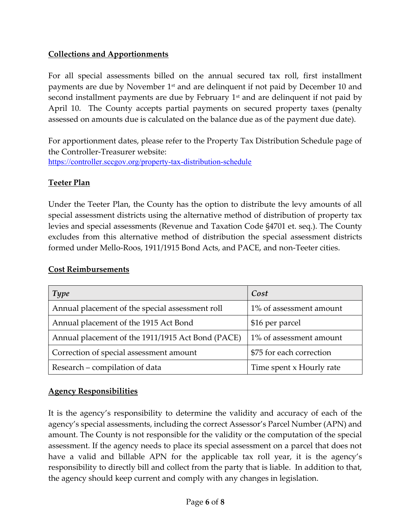# Collections and Apportionments

For all special assessments billed on the annual secured tax roll, first installment payments are due by November  $1<sup>st</sup>$  and are delinquent if not paid by December 10 and second installment payments are due by February  $1<sup>st</sup>$  and are delinquent if not paid by April 10. The County accepts partial payments on secured property taxes (penalty assessed on amounts due is calculated on the balance due as of the payment due date).

For apportionment dates, please refer to the Property Tax Distribution Schedule page of the Controller-Treasurer website: https://controller.sccgov.org/property-tax-distribution-schedule

#### Teeter Plan

Under the Teeter Plan, the County has the option to distribute the levy amounts of all special assessment districts using the alternative method of distribution of property tax levies and special assessments (Revenue and Taxation Code §4701 et. seq.). The County excludes from this alternative method of distribution the special assessment districts formed under Mello-Roos, 1911/1915 Bond Acts, and PACE, and non-Teeter cities.

| <b>Type</b>                                       | Cost                     |
|---------------------------------------------------|--------------------------|
| Annual placement of the special assessment roll   | 1% of assessment amount  |
| Annual placement of the 1915 Act Bond             | \$16 per parcel          |
| Annual placement of the 1911/1915 Act Bond (PACE) | 1% of assessment amount  |
| Correction of special assessment amount           | \$75 for each correction |
| Research – compilation of data                    | Time spent x Hourly rate |

#### Cost Reimbursements

# Agency Responsibilities

It is the agency's responsibility to determine the validity and accuracy of each of the agency's special assessments, including the correct Assessor's Parcel Number (APN) and amount. The County is not responsible for the validity or the computation of the special assessment. If the agency needs to place its special assessment on a parcel that does not have a valid and billable APN for the applicable tax roll year, it is the agency's responsibility to directly bill and collect from the party that is liable. In addition to that, the agency should keep current and comply with any changes in legislation.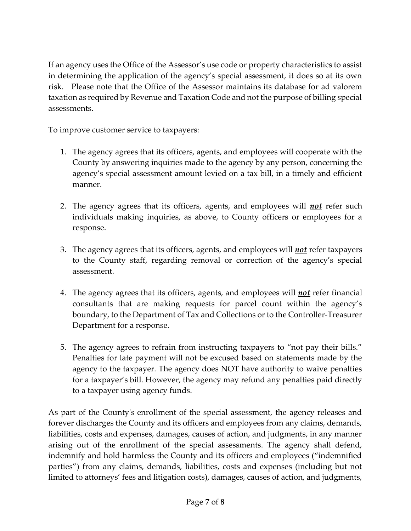If an agency uses the Office of the Assessor's use code or property characteristics to assist in determining the application of the agency's special assessment, it does so at its own risk. Please note that the Office of the Assessor maintains its database for ad valorem taxation as required by Revenue and Taxation Code and not the purpose of billing special assessments.

To improve customer service to taxpayers:

- 1. The agency agrees that its officers, agents, and employees will cooperate with the County by answering inquiries made to the agency by any person, concerning the agency's special assessment amount levied on a tax bill, in a timely and efficient manner.
- 2. The agency agrees that its officers, agents, and employees will **not** refer such individuals making inquiries, as above, to County officers or employees for a response.
- 3. The agency agrees that its officers, agents, and employees will *not* refer taxpayers to the County staff, regarding removal or correction of the agency's special assessment.
- 4. The agency agrees that its officers, agents, and employees will **not** refer financial consultants that are making requests for parcel count within the agency's boundary, to the Department of Tax and Collections or to the Controller-Treasurer Department for a response.
- 5. The agency agrees to refrain from instructing taxpayers to "not pay their bills." Penalties for late payment will not be excused based on statements made by the agency to the taxpayer. The agency does NOT have authority to waive penalties for a taxpayer's bill. However, the agency may refund any penalties paid directly to a taxpayer using agency funds.

As part of the County's enrollment of the special assessment, the agency releases and forever discharges the County and its officers and employees from any claims, demands, liabilities, costs and expenses, damages, causes of action, and judgments, in any manner arising out of the enrollment of the special assessments. The agency shall defend, indemnify and hold harmless the County and its officers and employees ("indemnified parties") from any claims, demands, liabilities, costs and expenses (including but not limited to attorneys' fees and litigation costs), damages, causes of action, and judgments,